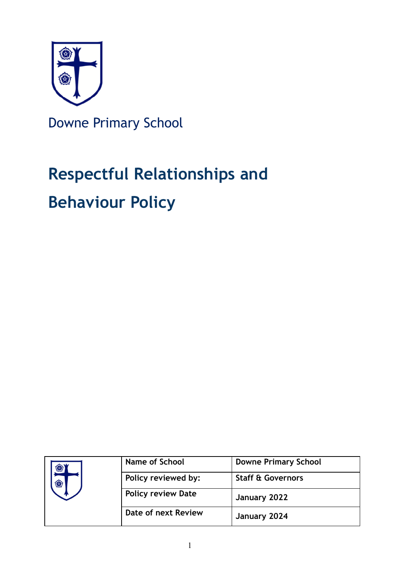

Downe Primary School

# **Respectful Relationships and**

## **Behaviour Policy**

|  | <b>Name of School</b>     | <b>Downe Primary School</b>  |
|--|---------------------------|------------------------------|
|  | Policy reviewed by:       | <b>Staff &amp; Governors</b> |
|  | <b>Policy review Date</b> | January 2022                 |
|  | Date of next Review       | January 2024                 |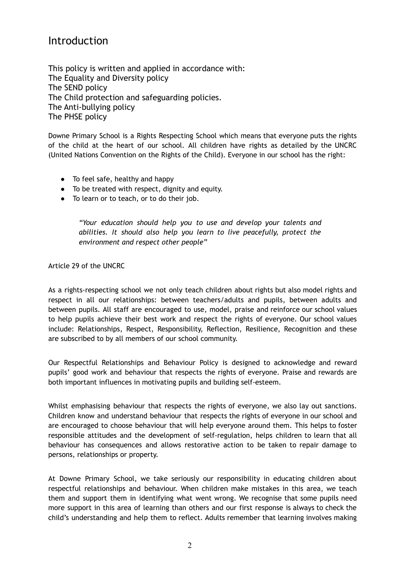### Introduction

This policy is written and applied in accordance with: The Equality and Diversity policy The SEND policy The Child protection and safeguarding policies. The Anti-bullying policy The PHSE policy

Downe Primary School is a Rights Respecting School which means that everyone puts the rights of the child at the heart of our school. All children have rights as detailed by the UNCRC (United Nations Convention on the Rights of the Child). Everyone in our school has the right:

- To feel safe, healthy and happy
- To be treated with respect, dignity and equity.
- To learn or to teach, or to do their job.

*"Your education should help you to use and develop your talents and abilities. It should also help you learn to live peacefully, protect the environment and respect other people"*

Article 29 of the UNCRC

As a rights-respecting school we not only teach children about rights but also model rights and respect in all our relationships: between teachers/adults and pupils, between adults and between pupils. All staff are encouraged to use, model, praise and reinforce our school values to help pupils achieve their best work and respect the rights of everyone. Our school values include: Relationships, Respect, Responsibility, Reflection, Resilience, Recognition and these are subscribed to by all members of our school community.

Our Respectful Relationships and Behaviour Policy is designed to acknowledge and reward pupils' good work and behaviour that respects the rights of everyone. Praise and rewards are both important influences in motivating pupils and building self-esteem.

Whilst emphasising behaviour that respects the rights of everyone, we also lay out sanctions. Children know and understand behaviour that respects the rights of everyone in our school and are encouraged to choose behaviour that will help everyone around them. This helps to foster responsible attitudes and the development of self-regulation, helps children to learn that all behaviour has consequences and allows restorative action to be taken to repair damage to persons, relationships or property.

At Downe Primary School, we take seriously our responsibility in educating children about respectful relationships and behaviour. When children make mistakes in this area, we teach them and support them in identifying what went wrong. We recognise that some pupils need more support in this area of learning than others and our first response is always to check the child's understanding and help them to reflect. Adults remember that learning involves making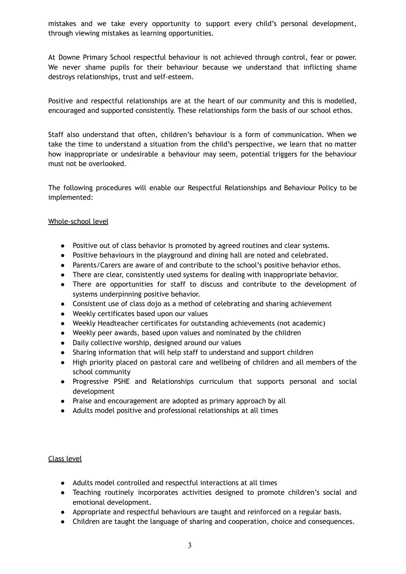mistakes and we take every opportunity to support every child's personal development, through viewing mistakes as learning opportunities.

At Downe Primary School respectful behaviour is not achieved through control, fear or power. We never shame pupils for their behaviour because we understand that inflicting shame destroys relationships, trust and self-esteem.

Positive and respectful relationships are at the heart of our community and this is modelled, encouraged and supported consistently. These relationships form the basis of our school ethos.

Staff also understand that often, children's behaviour is a form of communication. When we take the time to understand a situation from the child's perspective, we learn that no matter how inappropriate or undesirable a behaviour may seem, potential triggers for the behaviour must not be overlooked.

The following procedures will enable our Respectful Relationships and Behaviour Policy to be implemented:

#### Whole-school level

- Positive out of class behavior is promoted by agreed routines and clear systems.
- Positive behaviours in the playground and dining hall are noted and celebrated.
- Parents/Carers are aware of and contribute to the school's positive behavior ethos.
- There are clear, consistently used systems for dealing with inappropriate behavior.
- There are opportunities for staff to discuss and contribute to the development of systems underpinning positive behavior.
- Consistent use of class dojo as a method of celebrating and sharing achievement
- Weekly certificates based upon our values
- Weekly Headteacher certificates for outstanding achievements (not academic)
- Weekly peer awards, based upon values and nominated by the children
- Daily collective worship, designed around our values
- Sharing information that will help staff to understand and support children
- High priority placed on pastoral care and wellbeing of children and all members of the school community
- Progressive PSHE and Relationships curriculum that supports personal and social development
- Praise and encouragement are adopted as primary approach by all
- Adults model positive and professional relationships at all times

#### Class level

- Adults model controlled and respectful interactions at all times
- Teaching routinely incorporates activities designed to promote children's social and emotional development.
- Appropriate and respectful behaviours are taught and reinforced on a regular basis.
- Children are taught the language of sharing and cooperation, choice and consequences.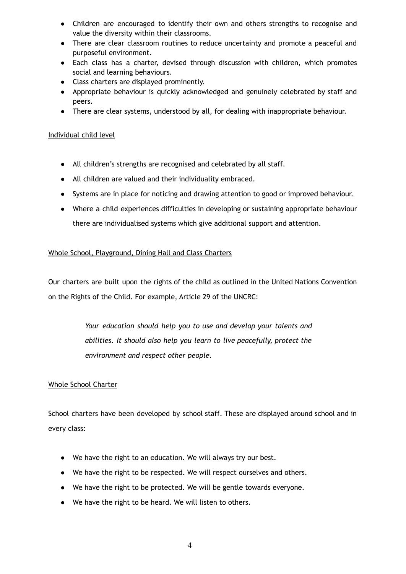- Children are encouraged to identify their own and others strengths to recognise and value the diversity within their classrooms.
- There are clear classroom routines to reduce uncertainty and promote a peaceful and purposeful environment.
- Each class has a charter, devised through discussion with children, which promotes social and learning behaviours.
- Class charters are displayed prominently.
- Appropriate behaviour is quickly acknowledged and genuinely celebrated by staff and peers.
- There are clear systems, understood by all, for dealing with inappropriate behaviour.

#### Individual child level

- All children's strengths are recognised and celebrated by all staff.
- All children are valued and their individuality embraced.
- Systems are in place for noticing and drawing attention to good or improved behaviour.
- Where a child experiences difficulties in developing or sustaining appropriate behaviour there are individualised systems which give additional support and attention.

#### Whole School, Playground, Dining Hall and Class Charters

Our charters are built upon the rights of the child as outlined in the United Nations Convention on the Rights of the Child. For example, Article 29 of the UNCRC:

> *Your education should help you to use and develop your talents and abilities. It should also help you learn to live peacefully, protect the environment and respect other people.*

#### Whole School Charter

School charters have been developed by school staff. These are displayed around school and in every class:

- We have the right to an education. We will always try our best.
- We have the right to be respected. We will respect ourselves and others.
- We have the right to be protected. We will be gentle towards everyone.
- We have the right to be heard. We will listen to others.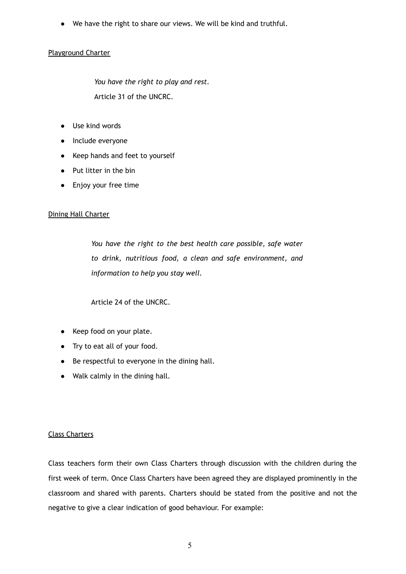● We have the right to share our views. We will be kind and truthful.

#### Playground Charter

*You have the right to play and rest.* Article 31 of the UNCRC.

- Use kind words
- Include everyone
- Keep hands and feet to yourself
- Put litter in the bin
- Enjoy your free time

#### Dining Hall Charter

*You have the right to the best health care possible, safe water to drink, nutritious food, a clean and safe environment, and information to help you stay well.*

Article 24 of the UNCRC.

- Keep food on your plate.
- Try to eat all of your food.
- Be respectful to everyone in the dining hall.
- Walk calmly in the dining hall.

#### Class Charters

Class teachers form their own Class Charters through discussion with the children during the first week of term. Once Class Charters have been agreed they are displayed prominently in the classroom and shared with parents. Charters should be stated from the positive and not the negative to give a clear indication of good behaviour. For example: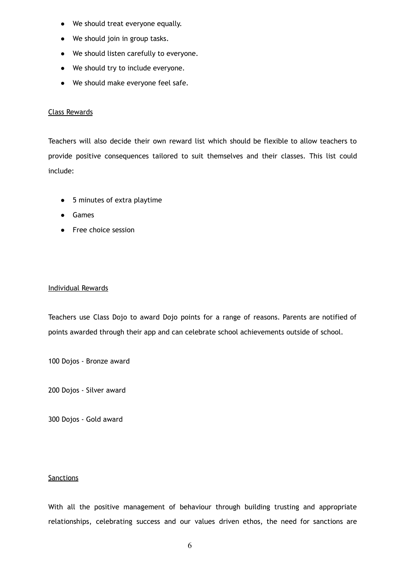- We should treat everyone equally.
- We should join in group tasks.
- We should listen carefully to everyone.
- We should try to include everyone.
- We should make everyone feel safe.

#### Class Rewards

Teachers will also decide their own reward list which should be flexible to allow teachers to provide positive consequences tailored to suit themselves and their classes. This list could include:

- 5 minutes of extra playtime
- Games
- Free choice session

#### Individual Rewards

Teachers use Class Dojo to award Dojo points for a range of reasons. Parents are notified of points awarded through their app and can celebrate school achievements outside of school.

100 Dojos - Bronze award

200 Dojos - Silver award

300 Dojos - Gold award

#### **Sanctions**

With all the positive management of behaviour through building trusting and appropriate relationships, celebrating success and our values driven ethos, the need for sanctions are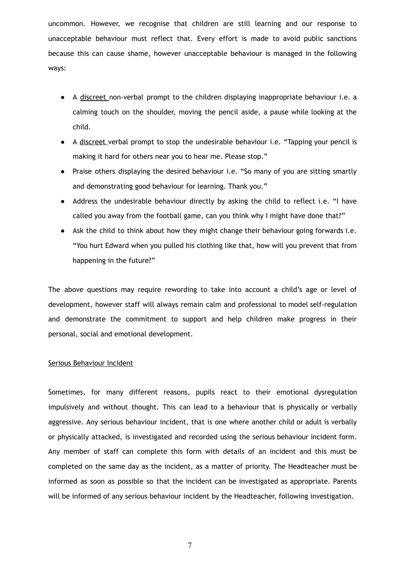uncommon. However, we recognise that children are still learning and our response to unacceptable behaviour must reflect that. Every effort is made to avoid public sanctions because this can cause shame, however unacceptable behaviour is managed in the following ways:

- A discreet non-verbal prompt to the children displaying inappropriate behaviour i.e. a calming touch on the shoulder, moving the pencil aside, a pause while looking at the child.
- A discreet verbal prompt to stop the undesirable behaviour i.e. "Tapping your pencil is making it hard for others near you to hear me. Please stop."
- Praise others displaying the desired behaviour i.e. "So many of you are sitting smartly and demonstrating good behaviour for learning. Thank you."
- Address the undesirable behaviour directly by asking the child to reflect i.e. "I have called you away from the football game, can you think why I might have done that?"
- Ask the child to think about how they might change their behaviour going forwards i.e. "You hurt Edward when you pulled his clothing like that, how will you prevent that from happening in the future?"

The above questions may require rewording to take into account a child's age or level of development, however staff will always remain calm and professional to model self-regulation and demonstrate the commitment to support and help children make progress in their personal, social and emotional development.

#### Serious Behaviour Incident

Sometimes, for many different reasons, pupils react to their emotional dysregulation impulsively and without thought. This can lead to a behaviour that is physically or verbally aggressive. Any serious behaviour incident, that is one where another child or adult is verbally or physically attacked, is investigated and recorded using the serious behaviour incident form. Any member of staff can complete this form with details of an incident and this must be completed on the same day as the incident, as a matter of priority. The Headteacher must be informed as soon as possible so that the incident can be investigated as appropriate. Parents will be informed of any serious behaviour incident by the Headteacher, following investigation.

7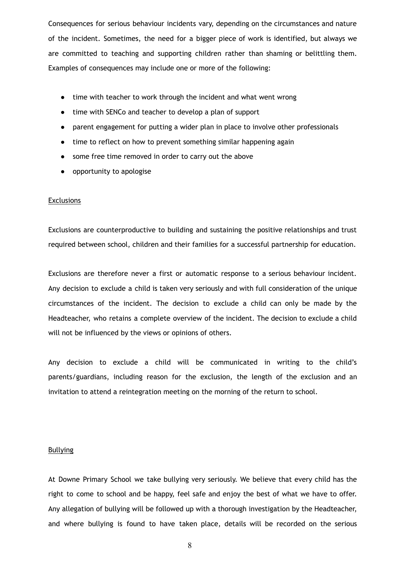Consequences for serious behaviour incidents vary, depending on the circumstances and nature of the incident. Sometimes, the need for a bigger piece of work is identified, but always we are committed to teaching and supporting children rather than shaming or belittling them. Examples of consequences may include one or more of the following:

- time with teacher to work through the incident and what went wrong
- time with SENCo and teacher to develop a plan of support
- parent engagement for putting a wider plan in place to involve other professionals
- time to reflect on how to prevent something similar happening again
- some free time removed in order to carry out the above
- opportunity to apologise

#### **Exclusions**

Exclusions are counterproductive to building and sustaining the positive relationships and trust required between school, children and their families for a successful partnership for education.

Exclusions are therefore never a first or automatic response to a serious behaviour incident. Any decision to exclude a child is taken very seriously and with full consideration of the unique circumstances of the incident. The decision to exclude a child can only be made by the Headteacher, who retains a complete overview of the incident. The decision to exclude a child will not be influenced by the views or opinions of others.

Any decision to exclude a child will be communicated in writing to the child's parents/guardians, including reason for the exclusion, the length of the exclusion and an invitation to attend a reintegration meeting on the morning of the return to school.

#### **Bullying**

At Downe Primary School we take bullying very seriously. We believe that every child has the right to come to school and be happy, feel safe and enjoy the best of what we have to offer. Any allegation of bullying will be followed up with a thorough investigation by the Headteacher, and where bullying is found to have taken place, details will be recorded on the serious